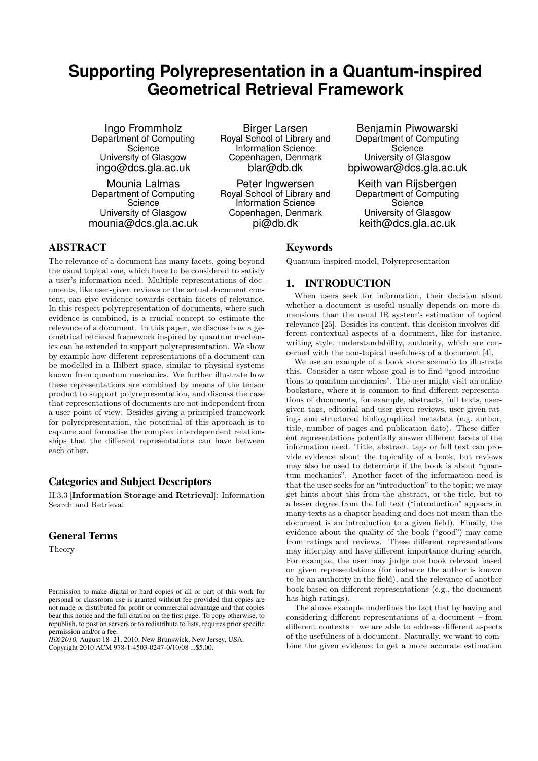# **Supporting Polyrepresentation in a Quantum-inspired Geometrical Retrieval Framework**

Ingo Frommholz Department of Computing **Science** University of Glasgow ingo@dcs.gla.ac.uk

Mounia Lalmas Department of Computing **Science** University of Glasgow mounia@dcs.gla.ac.uk

Birger Larsen Royal School of Library and Information Science Copenhagen, Denmark blar@db.dk

Peter Ingwersen Royal School of Library and Information Science Copenhagen, Denmark pi@db.dk

Keywords

Benjamin Piwowarski Department of Computing Science University of Glasgow bpiwowar@dcs.gla.ac.uk

Keith van Rijsbergen Department of Computing **Science** University of Glasgow keith@dcs.gla.ac.uk

Quantum-inspired model, Polyrepresentation

1. INTRODUCTION

# ABSTRACT

The relevance of a document has many facets, going beyond the usual topical one, which have to be considered to satisfy a user's information need. Multiple representations of documents, like user-given reviews or the actual document content, can give evidence towards certain facets of relevance. In this respect polyrepresentation of documents, where such evidence is combined, is a crucial concept to estimate the relevance of a document. In this paper, we discuss how a geometrical retrieval framework inspired by quantum mechanics can be extended to support polyrepresentation. We show by example how different representations of a document can be modelled in a Hilbert space, similar to physical systems known from quantum mechanics. We further illustrate how these representations are combined by means of the tensor product to support polyrepresentation, and discuss the case that representations of documents are not independent from a user point of view. Besides giving a principled framework for polyrepresentation, the potential of this approach is to capture and formalise the complex interdependent relationships that the different representations can have between each other.

# Categories and Subject Descriptors

H.3.3 [Information Storage and Retrieval]: Information Search and Retrieval

# General Terms

Theory

*IIiX 2010,* August 18–21, 2010, New Brunswick, New Jersey, USA. Copyright 2010 ACM 978-1-4503-0247-0/10/08 ...\$5.00.

When users seek for information, their decision about whether a document is useful usually depends on more dimensions than the usual IR system's estimation of topical relevance [25]. Besides its content, this decision involves different contextual aspects of a document, like for instance, writing style, understandability, authority, which are concerned with the non-topical usefulness of a document [4].

We use an example of a book store scenario to illustrate this. Consider a user whose goal is to find "good introductions to quantum mechanics". The user might visit an online bookstore, where it is common to find different representations of documents, for example, abstracts, full texts, usergiven tags, editorial and user-given reviews, user-given ratings and structured bibliographical metadata (e.g. author, title, number of pages and publication date). These different representations potentially answer different facets of the information need. Title, abstract, tags or full text can provide evidence about the topicality of a book, but reviews may also be used to determine if the book is about "quantum mechanics". Another facet of the information need is that the user seeks for an "introduction" to the topic; we may get hints about this from the abstract, or the title, but to a lesser degree from the full text ("introduction" appears in many texts as a chapter heading and does not mean than the document is an introduction to a given field). Finally, the evidence about the quality of the book ("good") may come from ratings and reviews. These different representations may interplay and have different importance during search. For example, the user may judge one book relevant based on given representations (for instance the author is known to be an authority in the field), and the relevance of another book based on different representations (e.g., the document has high ratings).

The above example underlines the fact that by having and considering different representations of a document – from different contexts – we are able to address different aspects of the usefulness of a document. Naturally, we want to combine the given evidence to get a more accurate estimation

Permission to make digital or hard copies of all or part of this work for personal or classroom use is granted without fee provided that copies are not made or distributed for profit or commercial advantage and that copies bear this notice and the full citation on the first page. To copy otherwise, to republish, to post on servers or to redistribute to lists, requires prior specific permission and/or a fee.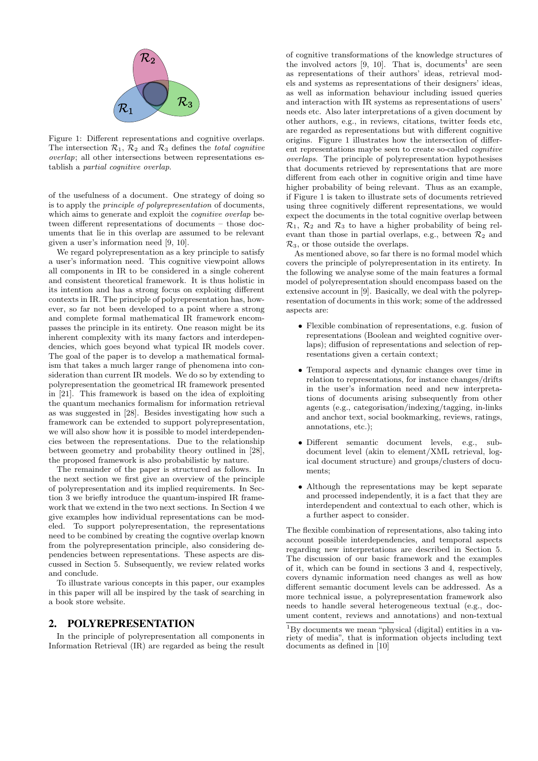

Figure 1: Different representations and cognitive overlaps. The intersection  $\mathcal{R}_1$ ,  $\mathcal{R}_2$  and  $\mathcal{R}_3$  defines the *total cognitive overlap*; all other intersections between representations establish a *partial cognitive overlap*.

of the usefulness of a document. One strategy of doing so is to apply the *principle of polyrepresentation* of documents, which aims to generate and exploit the *cognitive overlap* between different representations of documents – those documents that lie in this overlap are assumed to be relevant given a user's information need [9, 10].

We regard polyrepresentation as a key principle to satisfy a user's information need. This cognitive viewpoint allows all components in IR to be considered in a single coherent and consistent theoretical framework. It is thus holistic in its intention and has a strong focus on exploiting different contexts in IR. The principle of polyrepresentation has, however, so far not been developed to a point where a strong and complete formal mathematical IR framework encompasses the principle in its entirety. One reason might be its inherent complexity with its many factors and interdependencies, which goes beyond what typical IR models cover. The goal of the paper is to develop a mathematical formalism that takes a much larger range of phenomena into consideration than current IR models. We do so by extending to polyrepresentation the geometrical IR framework presented in [21]. This framework is based on the idea of exploiting the quantum mechanics formalism for information retrieval as was suggested in [28]. Besides investigating how such a framework can be extended to support polyrepresentation, we will also show how it is possible to model interdependencies between the representations. Due to the relationship between geometry and probability theory outlined in [28], the proposed framework is also probabilistic by nature.

The remainder of the paper is structured as follows. In the next section we first give an overview of the principle of polyrepresentation and its implied requirements. In Section 3 we briefly introduce the quantum-inspired IR framework that we extend in the two next sections. In Section 4 we give examples how individual representations can be modeled. To support polyrepresentation, the representations need to be combined by creating the cogntive overlap known from the polyrepresentation principle, also considering dependencies between representations. These aspects are discussed in Section 5. Subsequently, we review related works and conclude.

To illustrate various concepts in this paper, our examples in this paper will all be inspired by the task of searching in a book store website.

### 2. POLYREPRESENTATION

In the principle of polyrepresentation all components in Information Retrieval (IR) are regarded as being the result

of cognitive transformations of the knowledge structures of the involved actors [9, 10]. That is, documents<sup>1</sup> are seen as representations of their authors' ideas, retrieval models and systems as representations of their designers' ideas, as well as information behaviour including issued queries and interaction with IR systems as representations of users' needs etc. Also later interpretations of a given document by other authors, e.g., in reviews, citations, twitter feeds etc, are regarded as representations but with different cognitive origins. Figure 1 illustrates how the intersection of different representations maybe seen to create so-called *cognitive overlaps*. The principle of polyrepresentation hypothesises that documents retrieved by representations that are more different from each other in cognitive origin and time have higher probability of being relevant. Thus as an example, if Figure 1 is taken to illustrate sets of documents retrieved using three cognitively different representations, we would expect the documents in the total cognitive overlap between  $\mathcal{R}_1$ ,  $\mathcal{R}_2$  and  $\mathcal{R}_3$  to have a higher probability of being relevant than those in partial overlaps, e.g., between  $\mathcal{R}_2$  and  $\mathcal{R}_3$ , or those outside the overlaps.

As mentioned above, so far there is no formal model which covers the principle of polyrepresentation in its entirety. In the following we analyse some of the main features a formal model of polyrepresentation should encompass based on the extensive account in [9]. Basically, we deal with the polyrepresentation of documents in this work; some of the addressed aspects are:

- *•* Flexible combination of representations, e.g. fusion of representations (Boolean and weighted cognitive overlaps); diffusion of representations and selection of representations given a certain context;
- *•* Temporal aspects and dynamic changes over time in relation to representations, for instance changes/drifts in the user's information need and new interpretations of documents arising subsequently from other agents (e.g., categorisation/indexing/tagging, in-links and anchor text, social bookmarking, reviews, ratings, annotations, etc.);
- *•* Different semantic document levels, e.g., subdocument level (akin to element/XML retrieval, logical document structure) and groups/clusters of documents;
- *•* Although the representations may be kept separate and processed independently, it is a fact that they are interdependent and contextual to each other, which is a further aspect to consider.

The flexible combination of representations, also taking into account possible interdependencies, and temporal aspects regarding new interpretations are described in Section 5. The discussion of our basic framework and the examples of it, which can be found in sections 3 and 4, respectively, covers dynamic information need changes as well as how different semantic document levels can be addressed. As a more technical issue, a polyrepresentation framework also needs to handle several heterogeneous textual (e.g., document content, reviews and annotations) and non-textual

 $1By$  documents we mean "physical (digital) entities in a variety of media", that is information objects including text documents as defined in [10]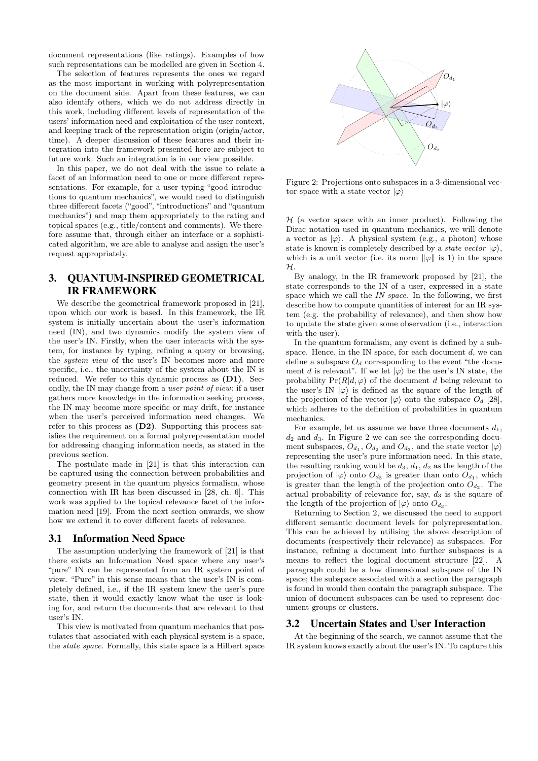document representations (like ratings). Examples of how such representations can be modelled are given in Section 4.

The selection of features represents the ones we regard as the most important in working with polyrepresentation on the document side. Apart from these features, we can also identify others, which we do not address directly in this work, including different levels of representation of the users' information need and exploitation of the user context, and keeping track of the representation origin (origin/actor, time). A deeper discussion of these features and their integration into the framework presented here are subject to future work. Such an integration is in our view possible.

In this paper, we do not deal with the issue to relate a facet of an information need to one or more different representations. For example, for a user typing "good introductions to quantum mechanics", we would need to distinguish three different facets ("good", "introductions" and "quantum mechanics") and map them appropriately to the rating and topical spaces (e.g., title/content and comments). We therefore assume that, through either an interface or a sophisticated algorithm, we are able to analyse and assign the user's request appropriately.

# 3. QUANTUM-INSPIRED GEOMETRICAL IR FRAMEWORK

We describe the geometrical framework proposed in [21], upon which our work is based. In this framework, the IR system is initially uncertain about the user's information need (IN), and two dynamics modify the system view of the user's IN. Firstly, when the user interacts with the system, for instance by typing, refining a query or browsing, the *system view* of the user's IN becomes more and more specific, i.e., the uncertainty of the system about the IN is reduced. We refer to this dynamic process as  $(D1)$ . Secondly, the IN may change from a *user point of view*; if a user gathers more knowledge in the information seeking process, the IN may become more specific or may drift, for instance when the user's perceived information need changes. We refer to this process as (D2). Supporting this process satisfies the requirement on a formal polyrepresentation model for addressing changing information needs, as stated in the previous section.

The postulate made in [21] is that this interaction can be captured using the connection between probabilities and geometry present in the quantum physics formalism, whose connection with IR has been discussed in [28, ch. 6]. This work was applied to the topical relevance facet of the information need [19]. From the next section onwards, we show how we extend it to cover different facets of relevance.

#### 3.1 Information Need Space

The assumption underlying the framework of [21] is that there exists an Information Need space where any user's "pure" IN can be represented from an IR system point of view. "Pure" in this sense means that the user's IN is completely defined, i.e., if the IR system knew the user's pure state, then it would exactly know what the user is looking for, and return the documents that are relevant to that user's IN.

This view is motivated from quantum mechanics that postulates that associated with each physical system is a space, the *state space*. Formally, this state space is a Hilbert space



Figure 2: Projections onto subspaces in a 3-dimensional vector space with a state vector  $|\varphi\rangle$ 

*H* (a vector space with an inner product). Following the Dirac notation used in quantum mechanics, we will denote a vector as  $|\varphi\rangle$ . A physical system (e.g., a photon) whose state is known is completely described by a *state vector*  $|\varphi\rangle$ , which is a unit vector (i.e. its norm  $\|\varphi\|$  is 1) in the space *H*.

By analogy, in the IR framework proposed by [21], the state corresponds to the IN of a user, expressed in a state space which we call the *IN space*. In the following, we first describe how to compute quantities of interest for an IR system (e.g. the probability of relevance), and then show how to update the state given some observation (i.e., interaction with the user).

In the quantum formalism, any event is defined by a subspace. Hence, in the IN space, for each document *d*, we can define a subspace  $O_d$  corresponding to the event "the document *d* is relevant". If we let  $|\varphi\rangle$  be the user's IN state, the probability  $Pr(R|d, \varphi)$  of the document *d* being relevant to the user's IN  $|\varphi\rangle$  is defined as the square of the length of the projection of the vector  $|\varphi\rangle$  onto the subspace  $O_d$  [28], which adheres to the definition of probabilities in quantum mechanics.

For example, let us assume we have three documents *d*1, *d*<sup>2</sup> and *d*3. In Figure 2 we can see the corresponding document subspaces,  $O_{d_1}$ ,  $O_{d_2}$  and  $O_{d_3}$ , and the state vector  $|\varphi\rangle$ representing the user's pure information need. In this state, the resulting ranking would be  $d_3$ ,  $d_1$ ,  $d_2$  as the length of the projection of  $|\varphi\rangle$  onto  $O_{d_3}$  is greater than onto  $O_{d_1}$ , which is greater than the length of the projection onto  $O_{d_2}$ . The actual probability of relevance for, say,  $d_3$  is the square of the length of the projection of  $|\varphi\rangle$  onto  $O_{d_3}$ .

Returning to Section 2, we discussed the need to support different semantic document levels for polyrepresentation. This can be achieved by utilising the above description of documents (respectively their relevance) as subspaces. For instance, refining a document into further subspaces is a means to reflect the logical document structure [22]. A paragraph could be a low dimensional subspace of the IN space; the subspace associated with a section the paragraph is found in would then contain the paragraph subspace. The union of document subspaces can be used to represent document groups or clusters.

#### 3.2 Uncertain States and User Interaction

At the beginning of the search, we cannot assume that the IR system knows exactly about the user's IN. To capture this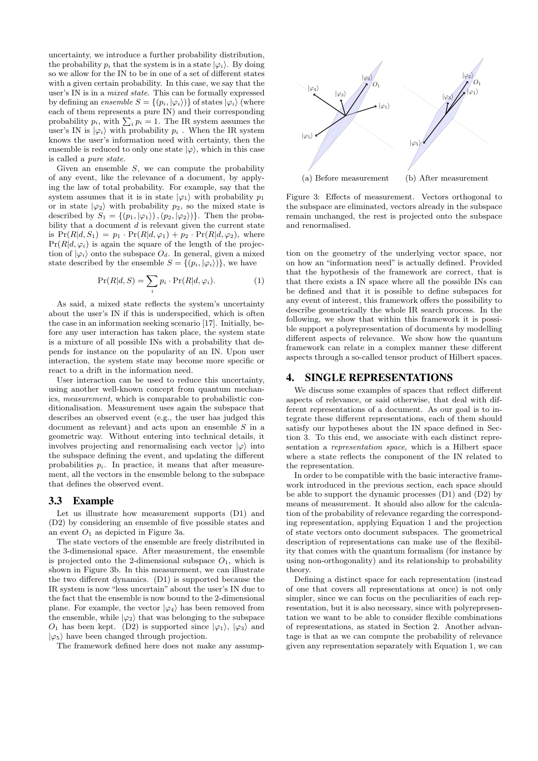uncertainty, we introduce a further probability distribution, the probability  $p_i$  that the system is in a state  $|\varphi_i\rangle$ . By doing so we allow for the IN to be in one of a set of different states with a given certain probability. In this case, we say that the user's IN is in a *mixed state*. This can be formally expressed by defining an *ensemble*  $S = \{(p_i, |\varphi_i\rangle)\}$  of states  $|\varphi_i\rangle$  (where each of them represents a pure IN) and their corresponding probability  $p_i$ , with  $\sum_i p_i = 1$ . The IR system assumes the user's IN is  $|\varphi_i\rangle$  with probability  $p_i$ . When the IR system knows the user's information need with certainty, then the ensemble is reduced to only one state  $|\varphi\rangle$ , which in this case is called a *pure state.*

Given an ensemble *S*, we can compute the probability of any event, like the relevance of a document, by applying the law of total probability. For example, say that the system assumes that it is in state  $|\varphi_1\rangle$  with probability  $p_1$ or in state  $|\varphi_2\rangle$  with probability  $p_2$ , so the mixed state is described by  $S_1 = \{(p_1, |\varphi_1\rangle), (p_2, |\varphi_2\rangle)\}.$  Then the probability that a document *d* is relevant given the current state is  $Pr(R|d, S_1) = p_1 \cdot Pr(R|d, \varphi_1) + p_2 \cdot Pr(R|d, \varphi_2)$ , where  $Pr(R|d, \varphi_i)$  is again the square of the length of the projection of  $|\varphi_i\rangle$  onto the subspace  $O_d$ . In general, given a mixed state described by the ensemble  $S = \{(p_i, |\varphi_i\rangle)\}\)$ , we have

$$
Pr(R|d, S) = \sum_{i} p_i \cdot Pr(R|d, \varphi_i).
$$
 (1)

As said, a mixed state reflects the system's uncertainty about the user's IN if this is underspecified, which is often the case in an information seeking scenario [17]. Initially, before any user interaction has taken place, the system state is a mixture of all possible INs with a probability that depends for instance on the popularity of an IN. Upon user interaction, the system state may become more specific or react to a drift in the information need.

User interaction can be used to reduce this uncertainty, using another well-known concept from quantum mechanics, *measurement*, which is comparable to probabilistic conditionalisation. Measurement uses again the subspace that describes an observed event (e.g., the user has judged this document as relevant) and acts upon an ensemble *S* in a geometric way. Without entering into technical details, it involves projecting and renormalising each vector  $|\varphi\rangle$  into the subspace defining the event, and updating the different probabilities  $p_i$ . In practice, it means that after measurement, all the vectors in the ensemble belong to the subspace that defines the observed event.

#### 3.3 Example

Let us illustrate how measurement supports (D1) and (D2) by considering an ensemble of five possible states and an event  $O_1$  as depicted in Figure 3a.

The state vectors of the ensemble are freely distributed in the 3-dimensional space. After measurement, the ensemble is projected onto the 2-dimensional subspace  $O_1$ , which is shown in Figure 3b. In this measurement, we can illustrate the two different dynamics. (D1) is supported because the IR system is now "less uncertain" about the user's IN due to the fact that the ensemble is now bound to the 2-dimensional plane. For example, the vector  $|\varphi_4\rangle$  has been removed from the ensemble, while  $|\varphi_2\rangle$  that was belonging to the subspace *O*<sub>1</sub> has been kept. (D2) is supported since  $|\varphi_1\rangle$ ,  $|\varphi_3\rangle$  and  $|\varphi_5\rangle$  have been changed through projection.

The framework defined here does not make any assump-



Figure 3: Effects of measurement. Vectors orthogonal to the subspace are eliminated, vectors already in the subspace remain unchanged, the rest is projected onto the subspace and renormalised.

tion on the geometry of the underlying vector space, nor on how an "information need" is actually defined. Provided that the hypothesis of the framework are correct, that is that there exists a IN space where all the possible INs can be defined and that it is possible to define subspaces for any event of interest, this framework offers the possibility to describe geometrically the whole IR search process. In the following, we show that within this framework it is possible support a polyrepresentation of documents by modelling different aspects of relevance. We show how the quantum framework can relate in a complex manner these different aspects through a so-called tensor product of Hilbert spaces.

### 4. SINGLE REPRESENTATIONS

We discuss some examples of spaces that reflect different aspects of relevance, or said otherwise, that deal with different representations of a document. As our goal is to integrate these different representations, each of them should satisfy our hypotheses about the IN space defined in Section 3. To this end, we associate with each distinct representation a *representation space*, which is a Hilbert space where a state reflects the component of the IN related to the representation.

In order to be compatible with the basic interactive framework introduced in the previous section, each space should be able to support the dynamic processes (D1) and (D2) by means of measurement. It should also allow for the calculation of the probability of relevance regarding the corresponding representation, applying Equation 1 and the projection of state vectors onto document subspaces. The geometrical description of representations can make use of the flexibility that comes with the quantum formalism (for instance by using non-orthogonality) and its relationship to probability theory.

Defining a distinct space for each representation (instead of one that covers all representations at once) is not only simpler, since we can focus on the peculiarities of each representation, but it is also necessary, since with polyrepresentation we want to be able to consider flexible combinations of representations, as stated in Section 2. Another advantage is that as we can compute the probability of relevance given any representation separately with Equation 1, we can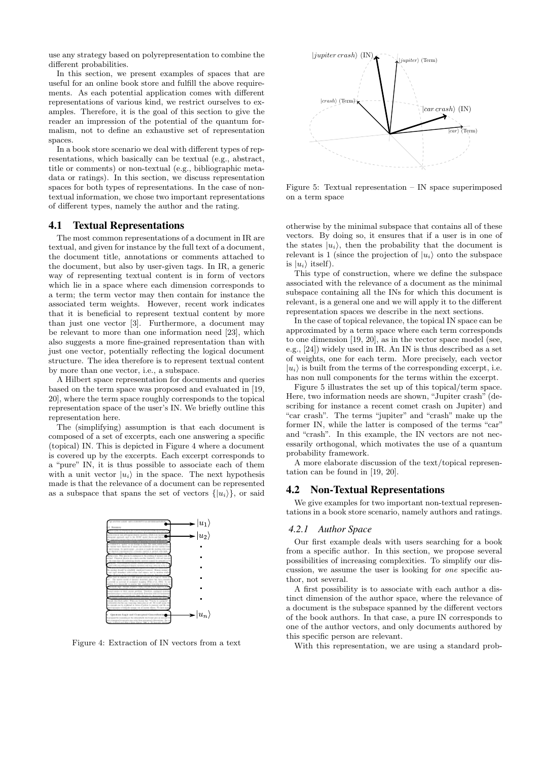use any strategy based on polyrepresentation to combine the different probabilities.

In this section, we present examples of spaces that are useful for an online book store and fulfill the above requirements. As each potential application comes with different representations of various kind, we restrict ourselves to examples. Therefore, it is the goal of this section to give the reader an impression of the potential of the quantum formalism, not to define an exhaustive set of representation spaces.

In a book store scenario we deal with different types of representations, which basically can be textual (e.g., abstract, title or comments) or non-textual (e.g., bibliographic metadata or ratings). In this section, we discuss representation spaces for both types of representations. In the case of nontextual information, we chose two important representations of different types, namely the author and the rating.

#### 4.1 Textual Representations

The most common representations of a document in IR are textual, and given for instance by the full text of a document, the document title, annotations or comments attached to the document, but also by user-given tags. In IR, a generic way of representing textual content is in form of vectors which lie in a space where each dimension corresponds to a term; the term vector may then contain for instance the associated term weights. However, recent work indicates that it is beneficial to represent textual content by more than just one vector [3]. Furthermore, a document may be relevant to more than one information need [23], which also suggests a more fine-grained representation than with just one vector, potentially reflecting the logical document structure. The idea therefore is to represent textual content by more than one vector, i.e., a subspace.

A Hilbert space representation for documents and queries based on the term space was proposed and evaluated in [19, 20], where the term space roughly corresponds to the topical representation space of the user's IN. We briefly outline this representation here.

The (simplifying) assumption is that each document is composed of a set of excerpts, each one answering a specific (topical) IN. This is depicted in Figure 4 where a document is covered up by the excerpts. Each excerpt corresponds to a "pure" IN, it is thus possible to associate each of them with a unit vector  $|u_i\rangle$  in the space. The next hypothesis made is that the relevance of a document can be represented as a subspace that spans the set of vectors  $\{|u_i\rangle\}$ , or said



Figure 4: Extraction of IN vectors from a text



Figure 5: Textual representation – IN space superimposed on a term space

otherwise by the minimal subspace that contains all of these vectors. By doing so, it ensures that if a user is in one of the states  $|u_i\rangle$ , then the probability that the document is relevant is 1 (since the projection of  $|u_i\rangle$  onto the subspace is  $|u_i\rangle$  itself).

This type of construction, where we define the subspace associated with the relevance of a document as the minimal subspace containing all the INs for which this document is relevant, is a general one and we will apply it to the different representation spaces we describe in the next sections.

In the case of topical relevance, the topical IN space can be approximated by a term space where each term corresponds to one dimension [19, 20], as in the vector space model (see, e.g., [24]) widely used in IR. An IN is thus described as a set of weights, one for each term. More precisely, each vector  $|u_i\rangle$  is built from the terms of the corresponding excerpt, i.e. has non null components for the terms within the excerpt.

Figure 5 illustrates the set up of this topical/term space. Here, two information needs are shown, "Jupiter crash" (describing for instance a recent comet crash on Jupiter) and "car crash". The terms "jupiter" and "crash" make up the former IN, while the latter is composed of the terms "car" and "crash". In this example, the IN vectors are not necessarily orthogonal, which motivates the use of a quantum probability framework.

A more elaborate discussion of the text/topical representation can be found in [19, 20].

### 4.2 Non-Textual Representations

We give examples for two important non-textual representations in a book store scenario, namely authors and ratings.

#### *4.2.1 Author Space*

Our first example deals with users searching for a book from a specific author. In this section, we propose several possibilities of increasing complexities. To simplify our discussion, we assume the user is looking for *one* specific author, not several.

A first possibility is to associate with each author a distinct dimension of the author space, where the relevance of a document is the subspace spanned by the different vectors of the book authors. In that case, a pure IN corresponds to one of the author vectors, and only documents authored by this specific person are relevant.

With this representation, we are using a standard prob-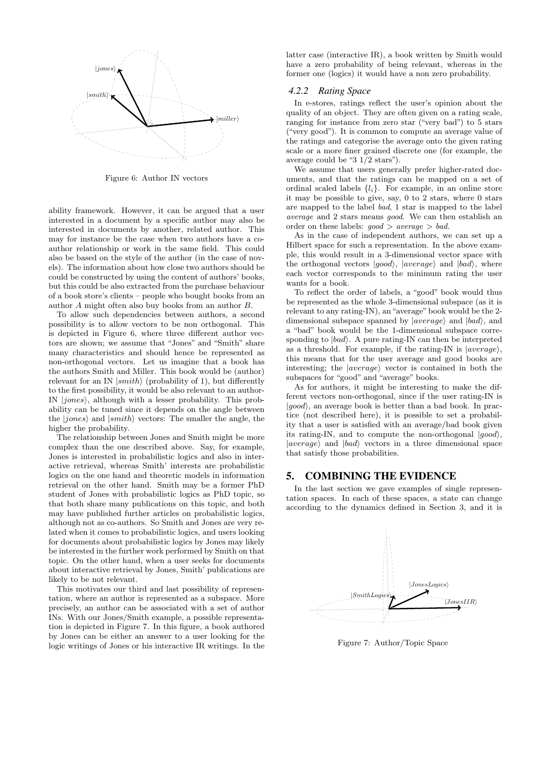

Figure 6: Author IN vectors

ability framework. However, it can be argued that a user interested in a document by a specific author may also be interested in documents by another, related author. This may for instance be the case when two authors have a coauthor relationship or work in the same field. This could also be based on the style of the author (in the case of novels). The information about how close two authors should be could be constructed by using the content of authors' books, but this could be also extracted from the purchase behaviour of a book store's clients – people who bought books from an author *A* might often also buy books from an author *B*.

To allow such dependencies between authors, a second possibility is to allow vectors to be non orthogonal. This is depicted in Figure 6, where three different author vectors are shown; we assume that "Jones" and "Smith" share many characteristics and should hence be represented as non-orthogonal vectors. Let us imagine that a book has the authors Smith and Miller. This book would be (author) relevant for an IN *|smith*! (probability of 1), but differently to the first possibility, it would be also relevant to an author-IN *|jones*!, although with a lesser probability. This probability can be tuned since it depends on the angle between the *|jones*! and *|smith*! vectors: The smaller the angle, the higher the probability.

The relationship between Jones and Smith might be more complex than the one described above. Say, for example, Jones is interested in probabilistic logics and also in interactive retrieval, whereas Smith' interests are probabilistic logics on the one hand and theoretic models in information retrieval on the other hand. Smith may be a former PhD student of Jones with probabilistic logics as PhD topic, so that both share many publications on this topic, and both may have published further articles on probabilistic logics, although not as co-authors. So Smith and Jones are very related when it comes to probabilistic logics, and users looking for documents about probabilistic logics by Jones may likely be interested in the further work performed by Smith on that topic. On the other hand, when a user seeks for documents about interactive retrieval by Jones, Smith' publications are likely to be not relevant.

This motivates our third and last possibility of representation, where an author is represented as a subspace. More precisely, an author can be associated with a set of author INs. With our Jones/Smith example, a possible representation is depicted in Figure 7. In this figure, a book authored by Jones can be either an answer to a user looking for the logic writings of Jones or his interactive IR writings. In the latter case (interactive IR), a book written by Smith would have a zero probability of being relevant, whereas in the former one (logics) it would have a non zero probability.

#### *4.2.2 Rating Space*

In e-stores, ratings reflect the user's opinion about the quality of an object. They are often given on a rating scale, ranging for instance from zero star ("very bad") to 5 stars ("very good"). It is common to compute an average value of the ratings and categorise the average onto the given rating scale or a more finer grained discrete one (for example, the average could be "3 1/2 stars").

We assume that users generally prefer higher-rated documents, and that the ratings can be mapped on a set of ordinal scaled labels *{li}*. For example, in an online store it may be possible to give, say, 0 to 2 stars, where 0 stars are mapped to the label *bad*, 1 star is mapped to the label *average* and 2 stars means *good*. We can then establish an order on these labels: *good > average > bad.*

As in the case of independent authors, we can set up a Hilbert space for such a representation. In the above example, this would result in a 3-dimensional vector space with the orthogonal vectors  $|good\rangle$ ,  $|average\rangle$  and  $|bad\rangle$ , where each vector corresponds to the minimum rating the user wants for a book.

To reflect the order of labels, a "good" book would thus be represented as the whole 3-dimensional subspace (as it is relevant to any rating-IN), an "average" book would be the 2dimensional subspace spanned by  $|average\rangle$  and  $|bad\rangle$ , and a "bad" book would be the 1-dimensional subspace corresponding to *|bad*!. A pure rating-IN can then be interpreted as a threshold. For example, if the rating-IN is *|average*}, this means that for the user average and good books are interesting; the *|average*} vector is contained in both the subspaces for "good" and "average" books.

As for authors, it might be interesting to make the different vectors non-orthogonal, since if the user rating-IN is *|good*!, an average book is better than a bad book. In practice (not described here), it is possible to set a probability that a user is satisfied with an average/bad book given its rating-IN, and to compute the non-orthogonal *|qood*}, *|average*! and *|bad*! vectors in a three dimensional space that satisfy those probabilities.

#### 5. COMBINING THE EVIDENCE

In the last section we gave examples of single representation spaces. In each of these spaces, a state can change according to the dynamics defined in Section 3, and it is



Figure 7: Author/Topic Space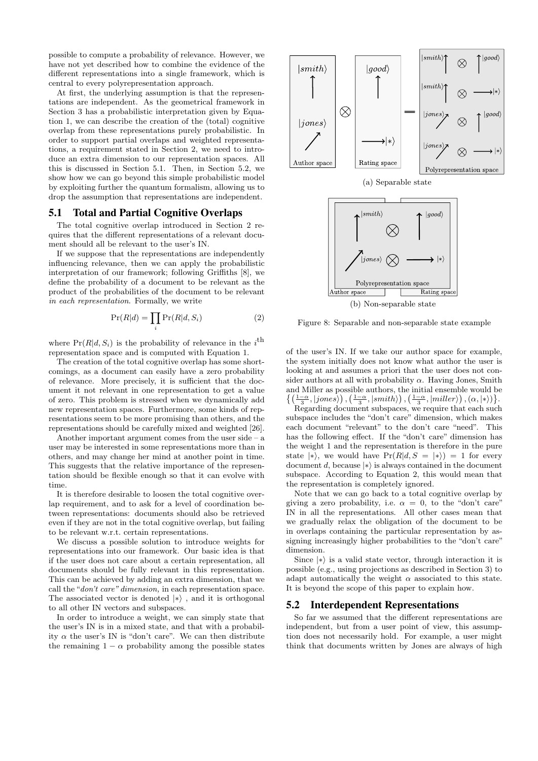possible to compute a probability of relevance. However, we have not yet described how to combine the evidence of the different representations into a single framework, which is central to every polyrepresentation approach.

At first, the underlying assumption is that the representations are independent. As the geometrical framework in Section 3 has a probabilistic interpretation given by Equation 1, we can describe the creation of the (total) cognitive overlap from these representations purely probabilistic. In order to support partial overlaps and weighted representations, a requirement stated in Section 2, we need to introduce an extra dimension to our representation spaces. All this is discussed in Section 5.1. Then, in Section 5.2, we show how we can go beyond this simple probabilistic model by exploiting further the quantum formalism, allowing us to drop the assumption that representations are independent.

### 5.1 Total and Partial Cognitive Overlaps

The total cognitive overlap introduced in Section 2 requires that the different representations of a relevant document should all be relevant to the user's IN.

If we suppose that the representations are independently influencing relevance, then we can apply the probabilistic interpretation of our framework; following Griffiths [8], we define the probability of a document to be relevant as the product of the probabilities of the document to be relevant *in each representation*. Formally, we write

$$
\Pr(R|d) = \prod_{i} \Pr(R|d, S_i)
$$
 (2)

where  $Pr(R|d, S_i)$  is the probability of relevance in the *i*<sup>th</sup> representation space and is computed with Equation 1.

The creation of the total cognitive overlap has some shortcomings, as a document can easily have a zero probability of relevance. More precisely, it is sufficient that the document it not relevant in one representation to get a value of zero. This problem is stressed when we dynamically add new representation spaces. Furthermore, some kinds of representations seem to be more promising than others, and the representations should be carefully mixed and weighted [26].

Another important argument comes from the user side – a user may be interested in some representations more than in others, and may change her mind at another point in time. This suggests that the relative importance of the representation should be flexible enough so that it can evolve with time.

It is therefore desirable to loosen the total cognitive overlap requirement, and to ask for a level of coordination between representations: documents should also be retrieved even if they are not in the total cognitive overlap, but failing to be relevant w.r.t. certain representations.

We discuss a possible solution to introduce weights for representations into our framework. Our basic idea is that if the user does not care about a certain representation, all documents should be fully relevant in this representation. This can be achieved by adding an extra dimension, that we call the "*don't care" dimension,* in each representation space. The associated vector is denoted *|*∗! , and it is orthogonal to all other IN vectors and subspaces.

In order to introduce a weight, we can simply state that the user's IN is in a mixed state, and that with a probability  $\alpha$  the user's IN is "don't care". We can then distribute the remaining  $1 - \alpha$  probability among the possible states





Figure 8: Separable and non-separable state example

of the user's IN. If we take our author space for example, the system initially does not know what author the user is looking at and assumes a priori that the user does not consider authors at all with probability  $\alpha$ . Having Jones, Smith and Miller as possible authors, the initial ensemble would be  $\left\{ \left( \frac{1-\alpha}{3}, |jones\rangle \right), \left( \frac{1-\alpha}{3}, |smith\rangle \right), \left( \frac{1-\alpha}{3}, |miller\rangle \right), (\alpha, |*) \right\}.$ 

Regarding document subspaces, we require that each such subspace includes the "don't care" dimension, which makes each document "relevant" to the don't care "need". This has the following effect. If the "don't care" dimension has the weight 1 and the representation is therefore in the pure state  $|\ast\rangle$ , we would have  $Pr(R|d, S = |\ast\rangle) = 1$  for every document *d*, because  $|\ast\rangle$  is always contained in the document subspace. According to Equation 2, this would mean that the representation is completely ignored.

Note that we can go back to a total cognitive overlap by giving a zero probability, i.e.  $\alpha = 0$ , to the "don't care" IN in all the representations. All other cases mean that we gradually relax the obligation of the document to be in overlaps containing the particular representation by assigning increasingly higher probabilities to the "don't care" dimension.

Since  $|∗$  is a valid state vector, through interaction it is possible (e.g., using projections as described in Section 3) to adapt automatically the weight  $\alpha$  associated to this state. It is beyond the scope of this paper to explain how.

#### 5.2 Interdependent Representations

So far we assumed that the different representations are independent, but from a user point of view, this assumption does not necessarily hold. For example, a user might think that documents written by Jones are always of high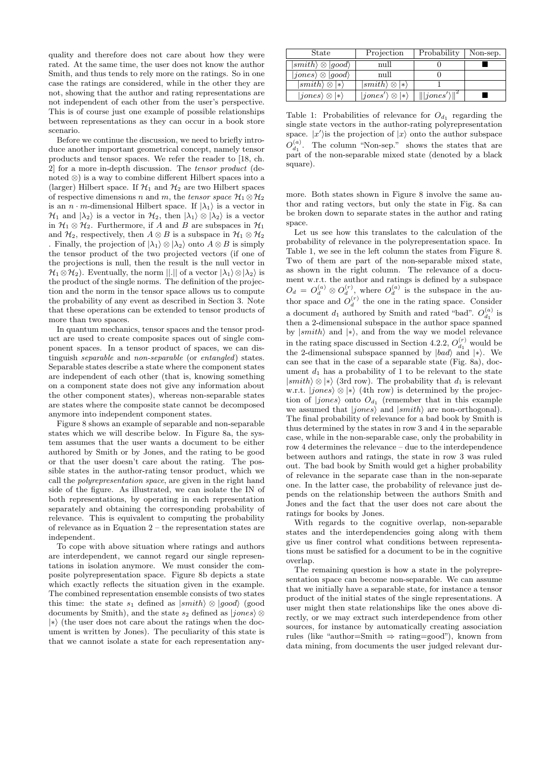quality and therefore does not care about how they were rated. At the same time, the user does not know the author Smith, and thus tends to rely more on the ratings. So in one case the ratings are considered, while in the other they are not, showing that the author and rating representations are not independent of each other from the user's perspective. This is of course just one example of possible relationships between representations as they can occur in a book store scenario.

Before we continue the discussion, we need to briefly introduce another important geometrical concept, namely tensor products and tensor spaces. We refer the reader to [18, ch. 2] for a more in-depth discussion. The *tensor product* (denoted ⊗) is a way to combine different Hilbert spaces into a (larger) Hilbert space. If  $\mathcal{H}_1$  and  $\mathcal{H}_2$  are two Hilbert spaces of respective dimensions *n* and *m*, the *tensor space*  $\mathcal{H}_1 \otimes \mathcal{H}_2$ is an *n*  $\cdot$  *m*-dimensional Hilbert space. If  $|\lambda_1\rangle$  is a vector in  $\mathcal{H}_1$  and  $|\lambda_2\rangle$  is a vector in  $\mathcal{H}_2$ , then  $|\lambda_1\rangle \otimes |\lambda_2\rangle$  is a vector in  $\mathcal{H}_1 \otimes \mathcal{H}_2$ . Furthermore, if *A* and *B* are subspaces in  $\mathcal{H}_1$ and  $\mathcal{H}_2$ , respectively, then  $A \otimes B$  is a subspace in  $\mathcal{H}_1 \otimes \mathcal{H}_2$ 

. Finally, the projection of  $|\lambda_1\rangle \otimes |\lambda_2\rangle$  onto  $A \otimes B$  is simply the tensor product of the two projected vectors (if one of the projections is null, then the result is the null vector in  $\mathcal{H}_1 \otimes \mathcal{H}_2$ ). Eventually, the norm  $||.||$  of a vector  $|\lambda_1\rangle \otimes |\lambda_2\rangle$  is the product of the single norms. The definition of the projection and the norm in the tensor space allows us to compute the probability of any event as described in Section 3. Note that these operations can be extended to tensor products of more than two spaces.

In quantum mechanics, tensor spaces and the tensor product are used to create composite spaces out of single component spaces. In a tensor product of spaces, we can distinguish *separable* and *non-separable* (or *entangled*) states. Separable states describe a state where the component states are independent of each other (that is, knowing something on a component state does not give any information about the other component states), whereas non-separable states are states where the composite state cannot be decomposed anymore into independent component states.

Figure 8 shows an example of separable and non-separable states which we will describe below. In Figure 8a, the system assumes that the user wants a document to be either authored by Smith or by Jones, and the rating to be good or that the user doesn't care about the rating. The possible states in the author-rating tensor product, which we call the *polyrepresentation space*, are given in the right hand side of the figure. As illustrated, we can isolate the IN of both representations, by operating in each representation separately and obtaining the corresponding probability of relevance. This is equivalent to computing the probability of relevance as in Equation 2 – the representation states are independent.

To cope with above situation where ratings and authors are interdependent, we cannot regard our single representations in isolation anymore. We must consider the composite polyrepresentation space. Figure 8b depicts a state which exactly reflects the situation given in the example. The combined representation ensemble consists of two states this time: the state  $s_1$  defined as  $\ket{smith} \otimes \ket{good}$  (good) documents by Smith), and the state *s*<sup>2</sup> defined as *|jones*! ⊗ *|*∗! (the user does not care about the ratings when the document is written by Jones). The peculiarity of this state is that we cannot isolate a state for each representation any-

| State                                | Projection                         | Probability             | Non-sep. |
|--------------------------------------|------------------------------------|-------------------------|----------|
| $\ket{smith}\otimes\ket{good}$       | null                               |                         |          |
| $ jones\rangle \otimes  good\rangle$ | null                               |                         |          |
| $ smith\rangle \otimes  *\rangle$    | $\ket{smith}\otimes\ket*$          |                         |          |
| $ jones\rangle \otimes  *\rangle$    | $ jones'\rangle \otimes  *\rangle$ | $\   jones'\rangle\ ^2$ |          |

Table 1: Probabilities of relevance for  $O_{d_1}$  regarding the single state vectors in the author-rating polyrepresentation space.  $|x'|$  is the projection of  $|x|$  onto the author subspace  $O_{d_1}^{(a)}$ . The column "Non-sep." shows the states that are part of the non-separable mixed state (denoted by a black square).

more. Both states shown in Figure 8 involve the same author and rating vectors, but only the state in Fig. 8a can be broken down to separate states in the author and rating space.

Let us see how this translates to the calculation of the probability of relevance in the polyrepresentation space. In Table 1, we see in the left column the states from Figure 8. Two of them are part of the non-separable mixed state, as shown in the right column. The relevance of a document w.r.t. the author and ratings is defined by a subspace  $O_d = O_d^{(a)} \otimes O_d^{(r)}$ , where  $O_d^{(a)}$  is the subspace in the author space and  $O_d^{(r)}$  the one in the rating space. Consider a document  $d_1$  authored by Smith and rated "bad".  $O_{d_1}^{(a)}$  is then a 2-dimensional subspace in the author space spanned by *|smith*! and *|*∗!, and from the way we model relevance in the rating space discussed in Section 4.2.2,  $O_{d_1}^{(r)}$  would be the 2-dimensional subspace spanned by  $|bad\rangle$  and  $|*\rangle$ . We can see that in the case of a separable state (Fig. 8a), document  $d_1$  has a probability of 1 to be relevant to the state  $|smith\rangle \otimes |*\rangle$  (3rd row). The probability that *d*<sub>1</sub> is relevant w.r.t.  $|jones\rangle \otimes |*\rangle$  (4th row) is determined by the projection of  $|jones\rangle$  onto  $O_{d_1}$  (remember that in this example we assumed that  $|jones\rangle$  and  $|smith\rangle$  are non-orthogonal). The final probability of relevance for a bad book by Smith is thus determined by the states in row 3 and 4 in the separable case, while in the non-separable case, only the probability in row 4 determines the relevance – due to the interdependence between authors and ratings, the state in row 3 was ruled out. The bad book by Smith would get a higher probability of relevance in the separate case than in the non-separate one. In the latter case, the probability of relevance just depends on the relationship between the authors Smith and Jones and the fact that the user does not care about the ratings for books by Jones.

With regards to the cognitive overlap, non-separable states and the interdependencies going along with them give us finer control what conditions between representations must be satisfied for a document to be in the cognitive overlap.

The remaining question is how a state in the polyrepresentation space can become non-separable. We can assume that we initially have a separable state, for instance a tensor product of the initial states of the single representations. A user might then state relationships like the ones above directly, or we may extract such interdependence from other sources, for instance by automatically creating association rules (like "author=Smith  $\Rightarrow$  rating=good"), known from data mining, from documents the user judged relevant dur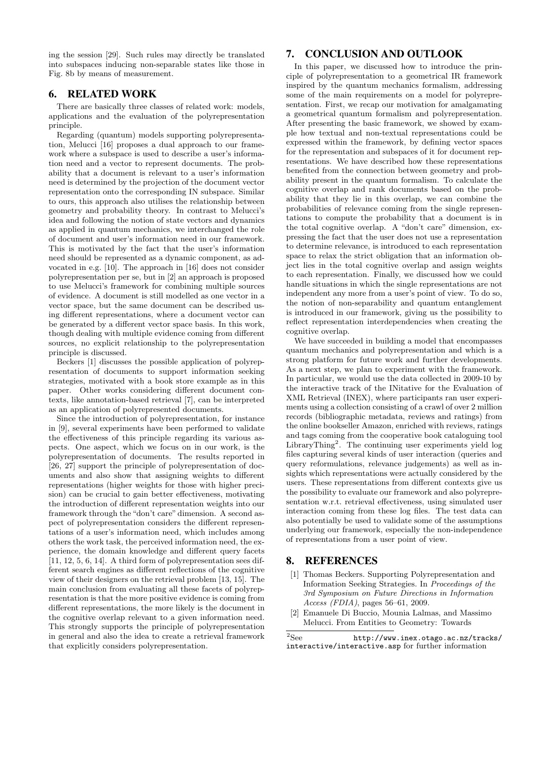ing the session [29]. Such rules may directly be translated into subspaces inducing non-separable states like those in Fig. 8b by means of measurement.

# 6. RELATED WORK

There are basically three classes of related work: models, applications and the evaluation of the polyrepresentation principle.

Regarding (quantum) models supporting polyrepresentation, Melucci [16] proposes a dual approach to our framework where a subspace is used to describe a user's information need and a vector to represent documents. The probability that a document is relevant to a user's information need is determined by the projection of the document vector representation onto the corresponding IN subspace. Similar to ours, this approach also utilises the relationship between geometry and probability theory. In contrast to Melucci's idea and following the notion of state vectors and dynamics as applied in quantum mechanics, we interchanged the role of document and user's information need in our framework. This is motivated by the fact that the user's information need should be represented as a dynamic component, as advocated in e.g. [10]. The approach in [16] does not consider polyrepresentation per se, but in [2] an approach is proposed to use Melucci's framework for combining multiple sources of evidence. A document is still modelled as one vector in a vector space, but the same document can be described using different representations, where a document vector can be generated by a different vector space basis. In this work, though dealing with multiple evidence coming from different sources, no explicit relationship to the polyrepresentation principle is discussed.

Beckers [1] discusses the possible application of polyrepresentation of documents to support information seeking strategies, motivated with a book store example as in this paper. Other works considering different document contexts, like annotation-based retrieval [7], can be interpreted as an application of polyrepresented documents.

Since the introduction of polyrepresentation, for instance in [9], several experiments have been performed to validate the effectiveness of this principle regarding its various aspects. One aspect, which we focus on in our work, is the polyrepresentation of documents. The results reported in [26, 27] support the principle of polyrepresentation of documents and also show that assigning weights to different representations (higher weights for those with higher precision) can be crucial to gain better effectiveness, motivating the introduction of different representation weights into our framework through the "don't care" dimension. A second aspect of polyrepresentation considers the different representations of a user's information need, which includes among others the work task, the perceived information need, the experience, the domain knowledge and different query facets [11, 12, 5, 6, 14]. A third form of polyrepresentation sees different search engines as different reflections of the cognitive view of their designers on the retrieval problem [13, 15]. The main conclusion from evaluating all these facets of polyrepresentation is that the more positive evidence is coming from different representations, the more likely is the document in the cognitive overlap relevant to a given information need. This strongly supports the principle of polyrepresentation in general and also the idea to create a retrieval framework that explicitly considers polyrepresentation.

# 7. CONCLUSION AND OUTLOOK

In this paper, we discussed how to introduce the principle of polyrepresentation to a geometrical IR framework inspired by the quantum mechanics formalism, addressing some of the main requirements on a model for polyrepresentation. First, we recap our motivation for amalgamating a geometrical quantum formalism and polyrepresentation. After presenting the basic framework, we showed by example how textual and non-textual representations could be expressed within the framework, by defining vector spaces for the representation and subspaces of it for document representations. We have described how these representations benefited from the connection between geometry and probability present in the quantum formalism. To calculate the cognitive overlap and rank documents based on the probability that they lie in this overlap, we can combine the probabilities of relevance coming from the single representations to compute the probability that a document is in the total cognitive overlap. A "don't care" dimension, expressing the fact that the user does not use a representation to determine relevance, is introduced to each representation space to relax the strict obligation that an information object lies in the total cognitive overlap and assign weights to each representation. Finally, we discussed how we could handle situations in which the single representations are not independent any more from a user's point of view. To do so, the notion of non-separability and quantum entanglement is introduced in our framework, giving us the possibility to reflect representation interdependencies when creating the cognitive overlap.

We have succeeded in building a model that encompasses quantum mechanics and polyrepresentation and which is a strong platform for future work and further developments. As a next step, we plan to experiment with the framework. In particular, we would use the data collected in 2009-10 by the interactive track of the INitative for the Evaluation of XML Retrieval (INEX), where participants ran user experiments using a collection consisting of a crawl of over 2 million records (bibliographic metadata, reviews and ratings) from the online bookseller Amazon, enriched with reviews, ratings and tags coming from the cooperative book cataloguing tool LibraryThing<sup>2</sup>. The continuing user experiments yield  $log$ files capturing several kinds of user interaction (queries and query reformulations, relevance judgements) as well as insights which representations were actually considered by the users. These representations from different contexts give us the possibility to evaluate our framework and also polyrepresentation w.r.t. retrieval effectiveness, using simulated user interaction coming from these log files. The test data can also potentially be used to validate some of the assumptions underlying our framework, especially the non-independence of representations from a user point of view.

## 8. REFERENCES

- [1] Thomas Beckers. Supporting Polyrepresentation and Information Seeking Strategies. In *Proceedings of the 3rd Symposium on Future Directions in Information Access (FDIA)*, pages 56–61, 2009.
- [2] Emanuele Di Buccio, Mounia Lalmas, and Massimo Melucci. From Entities to Geometry: Towards

<sup>2</sup>See http://www.inex.otago.ac.nz/tracks/ interactive/interactive.asp for further information